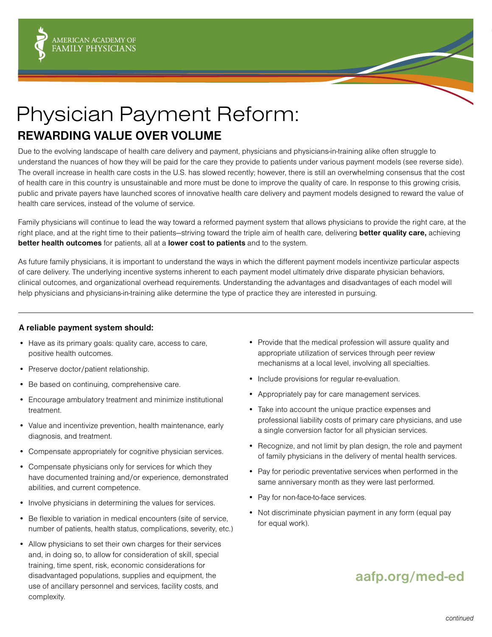

## Physician Payment Reform: **REWARDING VALUE OVER VOLUME**

Due to the evolving landscape of health care delivery and payment, physicians and physicians-in-training alike often struggle to understand the nuances of how they will be paid for the care they provide to patients under various payment models (see reverse side). The overall increase in health care costs in the U.S. has slowed recently; however, there is still an overwhelming consensus that the cost of health care in this country is unsustainable and more must be done to improve the quality of care. In response to this growing crisis, public and private payers have launched scores of innovative health care delivery and payment models designed to reward the value of health care services, instead of the volume of service.

Family physicians will continue to lead the way toward a reformed payment system that allows physicians to provide the right care, at the right place, and at the right time to their patients—striving toward the triple aim of health care, delivering **better quality care,** achieving **better health outcomes** for patients, all at a **lower cost to patients** and to the system.

As future family physicians, it is important to understand the ways in which the different payment models incentivize particular aspects of care delivery. The underlying incentive systems inherent to each payment model ultimately drive disparate physician behaviors, clinical outcomes, and organizational overhead requirements. Understanding the advantages and disadvantages of each model will help physicians and physicians-in-training alike determine the type of practice they are interested in pursuing.

## **A reliable payment system should:**

- Have as its primary goals: quality care, access to care, positive health outcomes.
- Preserve doctor/patient relationship.
- Be based on continuing, comprehensive care.
- Encourage ambulatory treatment and minimize institutional treatment.
- Value and incentivize prevention, health maintenance, early diagnosis, and treatment.
- Compensate appropriately for cognitive physician services.
- Compensate physicians only for services for which they have documented training and/or experience, demonstrated abilities, and current competence.
- Involve physicians in determining the values for services.
- Be flexible to variation in medical encounters (site of service, number of patients, health status, complications, severity, etc.)
- Allow physicians to set their own charges for their services and, in doing so, to allow for consideration of skill, special training, time spent, risk, economic considerations for disadvantaged populations, supplies and equipment, the use of ancillary personnel and services, facility costs, and complexity.
- Provide that the medical profession will assure quality and appropriate utilization of services through peer review mechanisms at a local level, involving all specialties.
- Include provisions for regular re-evaluation.
- Appropriately pay for care management services.
- Take into account the unique practice expenses and professional liability costs of primary care physicians, and use a single conversion factor for all physician services.
- Recognize, and not limit by plan design, the role and payment of family physicians in the delivery of mental health services.
- Pay for periodic preventative services when performed in the same anniversary month as they were last performed.
- Pay for non-face-to-face services.
- Not discriminate physician payment in any form (equal pay for equal work).

## **aafp.org/med-ed**